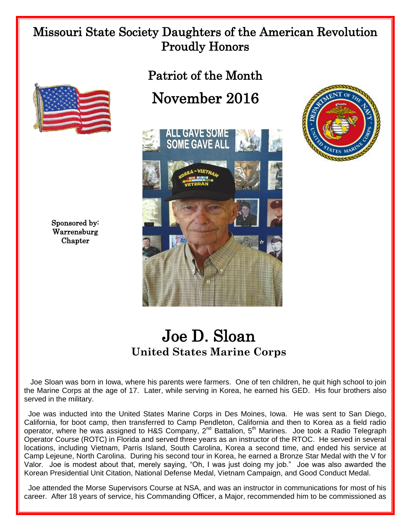## Missouri State Society Daughters of the American Revolution Proudly Honors



## November 2016





Sponsored by: Warrensburg **Chapter** 

## Joe D. Sloan **United States Marine Corps**

 Joe Sloan was born in Iowa, where his parents were farmers. One of ten children, he quit high school to join the Marine Corps at the age of 17. Later, while serving in Korea, he earned his GED. His four brothers also served in the military.

 Joe was inducted into the United States Marine Corps in Des Moines, Iowa. He was sent to San Diego, California, for boot camp, then transferred to Camp Pendleton, California and then to Korea as a field radio operator, where he was assigned to H&S Company, 2<sup>nd</sup> Battalion, 5<sup>th</sup> Marines. Joe took a Radio Telegraph Operator Course (ROTC) in Florida and served three years as an instructor of the RTOC. He served in several locations, including Vietnam, Parris Island, South Carolina, Korea a second time, and ended his service at Camp Lejeune, North Carolina. During his second tour in Korea, he earned a Bronze Star Medal with the V for Valor. Joe is modest about that, merely saying, "Oh, I was just doing my job." Joe was also awarded the Korean Presidential Unit Citation, National Defense Medal, Vietnam Campaign, and Good Conduct Medal.

 Joe attended the Morse Supervisors Course at NSA, and was an instructor in communications for most of his career. After 18 years of service, his Commanding Officer, a Major, recommended him to be commissioned as